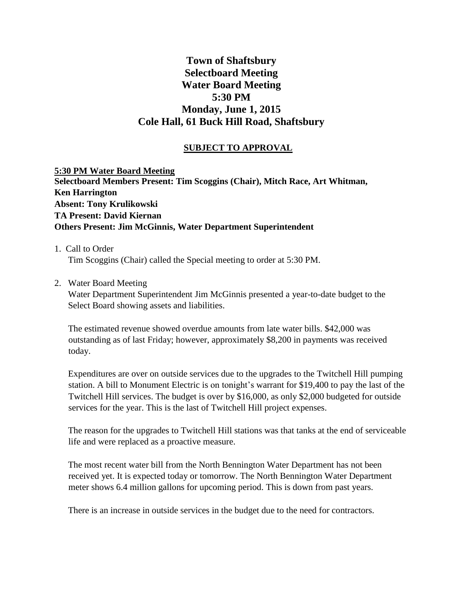# **Town of Shaftsbury Selectboard Meeting Water Board Meeting 5:30 PM Monday, June 1, 2015 Cole Hall, 61 Buck Hill Road, Shaftsbury**

## **SUBJECT TO APPROVAL**

**5:30 PM Water Board Meeting Selectboard Members Present: Tim Scoggins (Chair), Mitch Race, Art Whitman, Ken Harrington Absent: Tony Krulikowski TA Present: David Kiernan Others Present: Jim McGinnis, Water Department Superintendent**

#### 1. Call to Order

Tim Scoggins (Chair) called the Special meeting to order at 5:30 PM.

2. Water Board Meeting

Water Department Superintendent Jim McGinnis presented a year-to-date budget to the Select Board showing assets and liabilities.

The estimated revenue showed overdue amounts from late water bills. \$42,000 was outstanding as of last Friday; however, approximately \$8,200 in payments was received today.

Expenditures are over on outside services due to the upgrades to the Twitchell Hill pumping station. A bill to Monument Electric is on tonight's warrant for \$19,400 to pay the last of the Twitchell Hill services. The budget is over by \$16,000, as only \$2,000 budgeted for outside services for the year. This is the last of Twitchell Hill project expenses.

The reason for the upgrades to Twitchell Hill stations was that tanks at the end of serviceable life and were replaced as a proactive measure.

The most recent water bill from the North Bennington Water Department has not been received yet. It is expected today or tomorrow. The North Bennington Water Department meter shows 6.4 million gallons for upcoming period. This is down from past years.

There is an increase in outside services in the budget due to the need for contractors.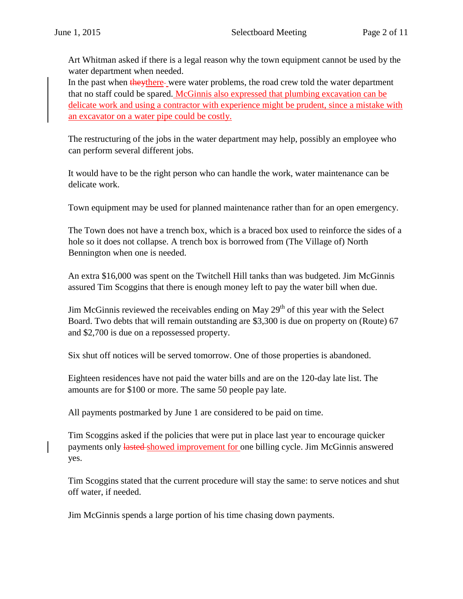Art Whitman asked if there is a legal reason why the town equipment cannot be used by the water department when needed.

In the past when they there-were water problems, the road crew told the water department that no staff could be spared. McGinnis also expressed that plumbing excavation can be delicate work and using a contractor with experience might be prudent, since a mistake with an excavator on a water pipe could be costly.

The restructuring of the jobs in the water department may help, possibly an employee who can perform several different jobs.

It would have to be the right person who can handle the work, water maintenance can be delicate work.

Town equipment may be used for planned maintenance rather than for an open emergency.

The Town does not have a trench box, which is a braced box used to reinforce the sides of a hole so it does not collapse. A trench box is borrowed from (The Village of) North Bennington when one is needed.

An extra \$16,000 was spent on the Twitchell Hill tanks than was budgeted. Jim McGinnis assured Tim Scoggins that there is enough money left to pay the water bill when due.

Jim McGinnis reviewed the receivables ending on May  $29<sup>th</sup>$  of this year with the Select Board. Two debts that will remain outstanding are \$3,300 is due on property on (Route) 67 and \$2,700 is due on a repossessed property.

Six shut off notices will be served tomorrow. One of those properties is abandoned.

Eighteen residences have not paid the water bills and are on the 120-day late list. The amounts are for \$100 or more. The same 50 people pay late.

All payments postmarked by June 1 are considered to be paid on time.

Tim Scoggins asked if the policies that were put in place last year to encourage quicker payments only lasted showed improvement for one billing cycle. Jim McGinnis answered yes.

Tim Scoggins stated that the current procedure will stay the same: to serve notices and shut off water, if needed.

Jim McGinnis spends a large portion of his time chasing down payments.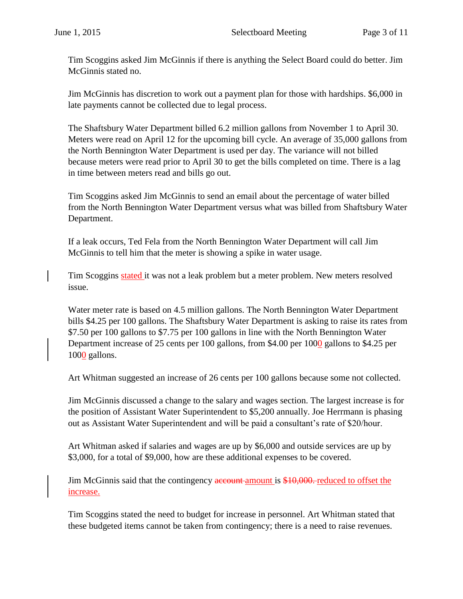Tim Scoggins asked Jim McGinnis if there is anything the Select Board could do better. Jim McGinnis stated no.

Jim McGinnis has discretion to work out a payment plan for those with hardships. \$6,000 in late payments cannot be collected due to legal process.

The Shaftsbury Water Department billed 6.2 million gallons from November 1 to April 30. Meters were read on April 12 for the upcoming bill cycle. An average of 35,000 gallons from the North Bennington Water Department is used per day. The variance will not billed because meters were read prior to April 30 to get the bills completed on time. There is a lag in time between meters read and bills go out.

Tim Scoggins asked Jim McGinnis to send an email about the percentage of water billed from the North Bennington Water Department versus what was billed from Shaftsbury Water Department.

If a leak occurs, Ted Fela from the North Bennington Water Department will call Jim McGinnis to tell him that the meter is showing a spike in water usage.

Tim Scoggins stated it was not a leak problem but a meter problem. New meters resolved issue.

Water meter rate is based on 4.5 million gallons. The North Bennington Water Department bills \$4.25 per 100 gallons. The Shaftsbury Water Department is asking to raise its rates from \$7.50 per 100 gallons to \$7.75 per 100 gallons in line with the North Bennington Water Department increase of 25 cents per 100 gallons, from \$4.00 per 1000 gallons to \$4.25 per 1000 gallons.

Art Whitman suggested an increase of 26 cents per 100 gallons because some not collected.

Jim McGinnis discussed a change to the salary and wages section. The largest increase is for the position of Assistant Water Superintendent to \$5,200 annually. Joe Herrmann is phasing out as Assistant Water Superintendent and will be paid a consultant's rate of \$20/hour.

Art Whitman asked if salaries and wages are up by \$6,000 and outside services are up by \$3,000, for a total of \$9,000, how are these additional expenses to be covered.

Jim McGinnis said that the contingency account amount is \$10,000. reduced to offset the increase.

Tim Scoggins stated the need to budget for increase in personnel. Art Whitman stated that these budgeted items cannot be taken from contingency; there is a need to raise revenues.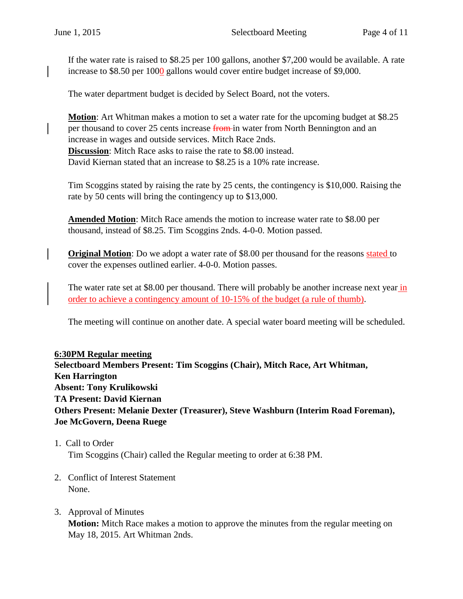If the water rate is raised to \$8.25 per 100 gallons, another \$7,200 would be available. A rate increase to \$8.50 per 1000 gallons would cover entire budget increase of \$9,000.

The water department budget is decided by Select Board, not the voters.

**Motion**: Art Whitman makes a motion to set a water rate for the upcoming budget at \$8.25 per thousand to cover 25 cents increase from in water from North Bennington and an increase in wages and outside services. Mitch Race 2nds. **Discussion**: Mitch Race asks to raise the rate to \$8.00 instead. David Kiernan stated that an increase to \$8.25 is a 10% rate increase.

Tim Scoggins stated by raising the rate by 25 cents, the contingency is \$10,000. Raising the rate by 50 cents will bring the contingency up to \$13,000.

**Amended Motion**: Mitch Race amends the motion to increase water rate to \$8.00 per thousand, instead of \$8.25. Tim Scoggins 2nds. 4-0-0. Motion passed.

**Original Motion**: Do we adopt a water rate of \$8.00 per thousand for the reasons stated to cover the expenses outlined earlier. 4-0-0. Motion passes.

The water rate set at \$8.00 per thousand. There will probably be another increase next year in order to achieve a contingency amount of 10-15% of the budget (a rule of thumb).

The meeting will continue on another date. A special water board meeting will be scheduled.

**6:30PM Regular meeting Selectboard Members Present: Tim Scoggins (Chair), Mitch Race, Art Whitman, Ken Harrington Absent: Tony Krulikowski TA Present: David Kiernan Others Present: Melanie Dexter (Treasurer), Steve Washburn (Interim Road Foreman), Joe McGovern, Deena Ruege**

- 1. Call to Order Tim Scoggins (Chair) called the Regular meeting to order at 6:38 PM.
- 2. Conflict of Interest Statement None.
- 3. Approval of Minutes **Motion:** Mitch Race makes a motion to approve the minutes from the regular meeting on May 18, 2015. Art Whitman 2nds.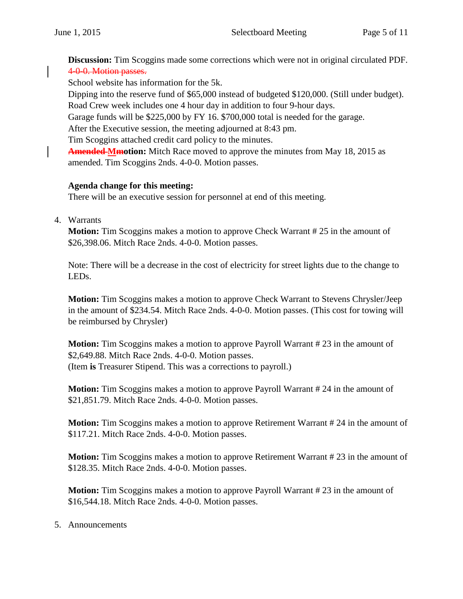**Discussion:** Tim Scoggins made some corrections which were not in original circulated PDF. 4-0-0. Motion passes.

School website has information for the 5k.

Dipping into the reserve fund of \$65,000 instead of budgeted \$120,000. (Still under budget). Road Crew week includes one 4 hour day in addition to four 9-hour days.

Garage funds will be \$225,000 by FY 16. \$700,000 total is needed for the garage.

After the Executive session, the meeting adjourned at 8:43 pm.

Tim Scoggins attached credit card policy to the minutes.

**Amended Mmotion:** Mitch Race moved to approve the minutes from May 18, 2015 as amended. Tim Scoggins 2nds. 4-0-0. Motion passes.

## **Agenda change for this meeting:**

There will be an executive session for personnel at end of this meeting.

4. Warrants

**Motion:** Tim Scoggins makes a motion to approve Check Warrant #25 in the amount of \$26,398.06. Mitch Race 2nds. 4-0-0. Motion passes.

Note: There will be a decrease in the cost of electricity for street lights due to the change to LEDs.

**Motion:** Tim Scoggins makes a motion to approve Check Warrant to Stevens Chrysler/Jeep in the amount of \$234.54. Mitch Race 2nds. 4-0-0. Motion passes. (This cost for towing will be reimbursed by Chrysler)

**Motion:** Tim Scoggins makes a motion to approve Payroll Warrant #23 in the amount of \$2,649.88. Mitch Race 2nds. 4-0-0. Motion passes. (Item **is** Treasurer Stipend. This was a corrections to payroll.)

**Motion:** Tim Scoggins makes a motion to approve Payroll Warrant # 24 in the amount of \$21,851.79. Mitch Race 2nds. 4-0-0. Motion passes.

**Motion:** Tim Scoggins makes a motion to approve Retirement Warrant # 24 in the amount of \$117.21. Mitch Race 2nds. 4-0-0. Motion passes.

**Motion:** Tim Scoggins makes a motion to approve Retirement Warrant #23 in the amount of \$128.35. Mitch Race 2nds. 4-0-0. Motion passes.

**Motion:** Tim Scoggins makes a motion to approve Payroll Warrant #23 in the amount of \$16,544.18. Mitch Race 2nds. 4-0-0. Motion passes.

### 5. Announcements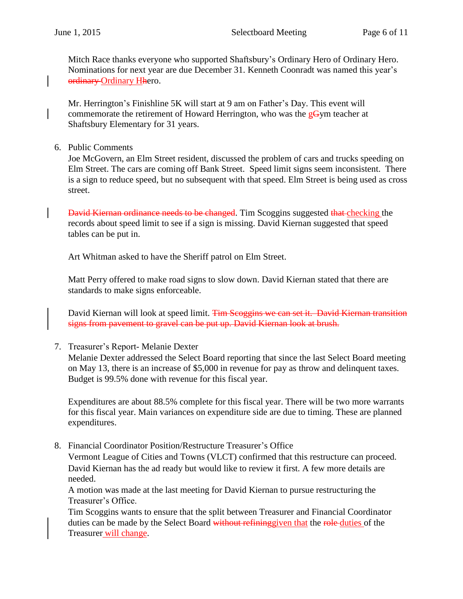Mitch Race thanks everyone who supported Shaftsbury's Ordinary Hero of Ordinary Hero. Nominations for next year are due December 31. Kenneth Coonradt was named this year's ordinary Ordinary Hhero.

Mr. Herrington's Finishline 5K will start at 9 am on Father's Day. This event will commemorate the retirement of Howard Herrington, who was the  $gGym$  teacher at Shaftsbury Elementary for 31 years.

6. Public Comments

Joe McGovern, an Elm Street resident, discussed the problem of cars and trucks speeding on Elm Street. The cars are coming off Bank Street. Speed limit signs seem inconsistent. There is a sign to reduce speed, but no subsequent with that speed. Elm Street is being used as cross street.

David Kiernan ordinance needs to be changed. Tim Scoggins suggested that checking the records about speed limit to see if a sign is missing. David Kiernan suggested that speed tables can be put in.

Art Whitman asked to have the Sheriff patrol on Elm Street.

Matt Perry offered to make road signs to slow down. David Kiernan stated that there are standards to make signs enforceable.

David Kiernan will look at speed limit. Tim Scoggins we can set it. David Kiernan transition signs from pavement to gravel can be put up. David Kiernan look at brush.

7. Treasurer's Report- Melanie Dexter

Melanie Dexter addressed the Select Board reporting that since the last Select Board meeting on May 13, there is an increase of \$5,000 in revenue for pay as throw and delinquent taxes. Budget is 99.5% done with revenue for this fiscal year.

Expenditures are about 88.5% complete for this fiscal year. There will be two more warrants for this fiscal year. Main variances on expenditure side are due to timing. These are planned expenditures.

8. Financial Coordinator Position/Restructure Treasurer's Office

Vermont League of Cities and Towns (VLCT) confirmed that this restructure can proceed. David Kiernan has the ad ready but would like to review it first. A few more details are needed.

A motion was made at the last meeting for David Kiernan to pursue restructuring the Treasurer's Office.

Tim Scoggins wants to ensure that the split between Treasurer and Financial Coordinator duties can be made by the Select Board without refining given that the role duties of the Treasurer will change.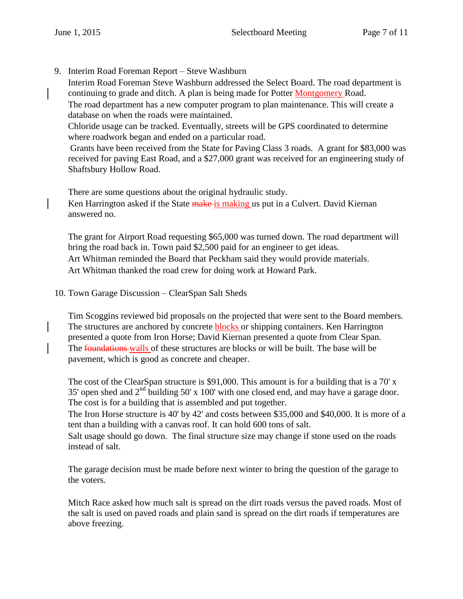9. Interim Road Foreman Report – Steve Washburn

Interim Road Foreman Steve Washburn addressed the Select Board. The road department is continuing to grade and ditch. A plan is being made for Potter Montgomery Road.

The road department has a new computer program to plan maintenance. This will create a database on when the roads were maintained.

Chloride usage can be tracked. Eventually, streets will be GPS coordinated to determine where roadwork began and ended on a particular road.

Grants have been received from the State for Paving Class 3 roads. A grant for \$83,000 was received for paving East Road, and a \$27,000 grant was received for an engineering study of Shaftsbury Hollow Road.

There are some questions about the original hydraulic study. Ken Harrington asked if the State make is making us put in a Culvert. David Kiernan answered no.

The grant for Airport Road requesting \$65,000 was turned down. The road department will bring the road back in. Town paid \$2,500 paid for an engineer to get ideas. Art Whitman reminded the Board that Peckham said they would provide materials. Art Whitman thanked the road crew for doing work at Howard Park.

10. Town Garage Discussion – ClearSpan Salt Sheds

Tim Scoggins reviewed bid proposals on the projected that were sent to the Board members. The structures are anchored by concrete **blocks** or shipping containers. Ken Harrington presented a quote from Iron Horse; David Kiernan presented a quote from Clear Span. The foundations walls of these structures are blocks or will be built. The base will be pavement, which is good as concrete and cheaper.

The cost of the ClearSpan structure is \$91,000. This amount is for a building that is a 70' x 35' open shed and  $2<sup>nd</sup>$  building 50' x 100' with one closed end, and may have a garage door. The cost is for a building that is assembled and put together.

The Iron Horse structure is 40' by 42' and costs between \$35,000 and \$40,000. It is more of a tent than a building with a canvas roof. It can hold 600 tons of salt.

Salt usage should go down. The final structure size may change if stone used on the roads instead of salt.

The garage decision must be made before next winter to bring the question of the garage to the voters.

Mitch Race asked how much salt is spread on the dirt roads versus the paved roads. Most of the salt is used on paved roads and plain sand is spread on the dirt roads if temperatures are above freezing.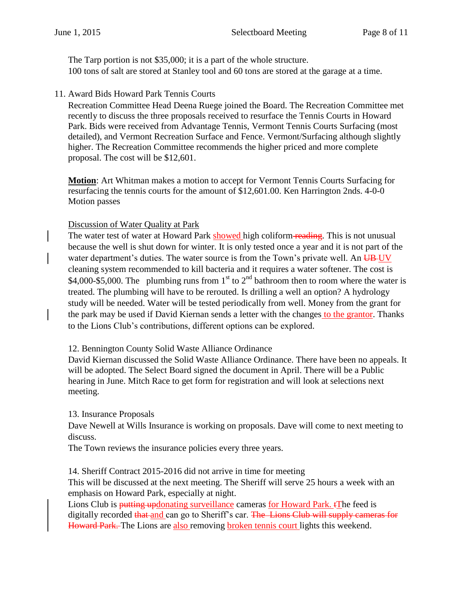The Tarp portion is not \$35,000; it is a part of the whole structure. 100 tons of salt are stored at Stanley tool and 60 tons are stored at the garage at a time.

11. Award Bids Howard Park Tennis Courts

Recreation Committee Head Deena Ruege joined the Board. The Recreation Committee met recently to discuss the three proposals received to resurface the Tennis Courts in Howard Park. Bids were received from Advantage Tennis, Vermont Tennis Courts Surfacing (most detailed), and Vermont Recreation Surface and Fence. Vermont/Surfacing although slightly higher. The Recreation Committee recommends the higher priced and more complete proposal. The cost will be \$12,601.

**Motion**: Art Whitman makes a motion to accept for Vermont Tennis Courts Surfacing for resurfacing the tennis courts for the amount of \$12,601.00. Ken Harrington 2nds. 4-0-0 Motion passes

### Discussion of Water Quality at Park

The water test of water at Howard Park showed high coliform-reading. This is not unusual because the well is shut down for winter. It is only tested once a year and it is not part of the water department's duties. The water source is from the Town's private well. An UB-UV cleaning system recommended to kill bacteria and it requires a water softener. The cost is \$4,000-\$5,000. The plumbing runs from  $1<sup>st</sup>$  to  $2<sup>nd</sup>$  bathroom then to room where the water is treated. The plumbing will have to be rerouted. Is drilling a well an option? A hydrology study will be needed. Water will be tested periodically from well. Money from the grant for the park may be used if David Kiernan sends a letter with the changes to the grantor. Thanks to the Lions Club's contributions, different options can be explored.

#### 12. Bennington County Solid Waste Alliance Ordinance

David Kiernan discussed the Solid Waste Alliance Ordinance. There have been no appeals. It will be adopted. The Select Board signed the document in April. There will be a Public hearing in June. Mitch Race to get form for registration and will look at selections next meeting.

### 13. Insurance Proposals

Dave Newell at Wills Insurance is working on proposals. Dave will come to next meeting to discuss.

The Town reviews the insurance policies every three years.

14. Sheriff Contract 2015-2016 did not arrive in time for meeting

This will be discussed at the next meeting. The Sheriff will serve 25 hours a week with an emphasis on Howard Park, especially at night.

Lions Club is **putting updonating surveillance cameras for Howard Park.** The feed is digitally recorded that and can go to Sheriff's car. The Lions Club will supply cameras for Howard Park. The Lions are also removing broken tennis court lights this weekend.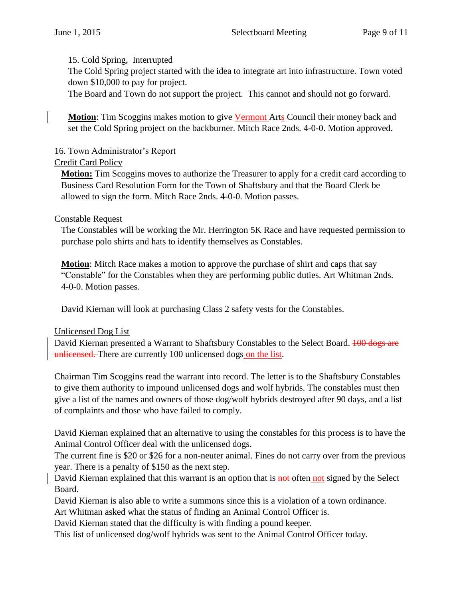#### 15. Cold Spring, Interrupted

The Cold Spring project started with the idea to integrate art into infrastructure. Town voted down \$10,000 to pay for project.

The Board and Town do not support the project. This cannot and should not go forward.

**Motion**: Tim Scoggins makes motion to give Vermont Arts Council their money back and set the Cold Spring project on the backburner. Mitch Race 2nds. 4-0-0. Motion approved.

### 16. Town Administrator's Report

### Credit Card Policy

**Motion:** Tim Scoggins moves to authorize the Treasurer to apply for a credit card according to Business Card Resolution Form for the Town of Shaftsbury and that the Board Clerk be allowed to sign the form. Mitch Race 2nds. 4-0-0. Motion passes.

#### Constable Request

The Constables will be working the Mr. Herrington 5K Race and have requested permission to purchase polo shirts and hats to identify themselves as Constables.

**Motion**: Mitch Race makes a motion to approve the purchase of shirt and caps that say "Constable" for the Constables when they are performing public duties. Art Whitman 2nds. 4-0-0. Motion passes.

David Kiernan will look at purchasing Class 2 safety vests for the Constables.

#### Unlicensed Dog List

David Kiernan presented a Warrant to Shaftsbury Constables to the Select Board. **100 dogs are** unlicensed. There are currently 100 unlicensed dogs on the list.

Chairman Tim Scoggins read the warrant into record. The letter is to the Shaftsbury Constables to give them authority to impound unlicensed dogs and wolf hybrids. The constables must then give a list of the names and owners of those dog/wolf hybrids destroyed after 90 days, and a list of complaints and those who have failed to comply.

David Kiernan explained that an alternative to using the constables for this process is to have the Animal Control Officer deal with the unlicensed dogs.

The current fine is \$20 or \$26 for a non-neuter animal. Fines do not carry over from the previous year. There is a penalty of \$150 as the next step.

David Kiernan explained that this warrant is an option that is **not** often not signed by the Select Board.

David Kiernan is also able to write a summons since this is a violation of a town ordinance.

Art Whitman asked what the status of finding an Animal Control Officer is.

David Kiernan stated that the difficulty is with finding a pound keeper.

This list of unlicensed dog/wolf hybrids was sent to the Animal Control Officer today.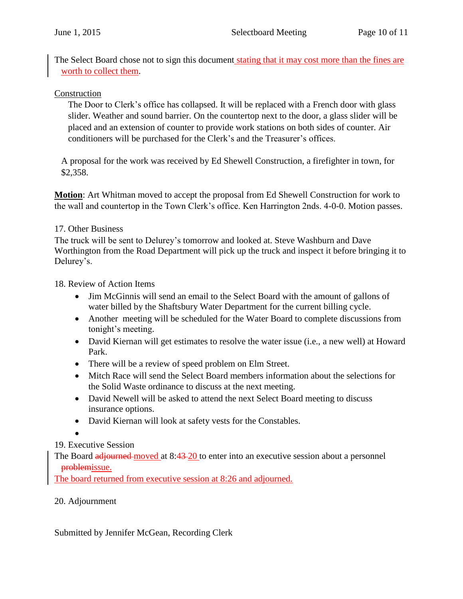The Select Board chose not to sign this document stating that it may cost more than the fines are worth to collect them.

### Construction

The Door to Clerk's office has collapsed. It will be replaced with a French door with glass slider. Weather and sound barrier. On the countertop next to the door, a glass slider will be placed and an extension of counter to provide work stations on both sides of counter. Air conditioners will be purchased for the Clerk's and the Treasurer's offices.

A proposal for the work was received by Ed Shewell Construction, a firefighter in town, for \$2,358.

**Motion**: Art Whitman moved to accept the proposal from Ed Shewell Construction for work to the wall and countertop in the Town Clerk's office. Ken Harrington 2nds. 4-0-0. Motion passes.

## 17. Other Business

The truck will be sent to Delurey's tomorrow and looked at. Steve Washburn and Dave Worthington from the Road Department will pick up the truck and inspect it before bringing it to Delurey's.

18. Review of Action Items

- Jim McGinnis will send an email to the Select Board with the amount of gallons of water billed by the Shaftsbury Water Department for the current billing cycle.
- Another meeting will be scheduled for the Water Board to complete discussions from tonight's meeting.
- David Kiernan will get estimates to resolve the water issue (i.e., a new well) at Howard Park.
- There will be a review of speed problem on Elm Street.
- Mitch Race will send the Select Board members information about the selections for the Solid Waste ordinance to discuss at the next meeting.
- David Newell will be asked to attend the next Select Board meeting to discuss insurance options.
- David Kiernan will look at safety vests for the Constables.

 $\bullet$ 

# 19. Executive Session

The Board adjourned moved at 8:43-20 to enter into an executive session about a personnel problemissue.

The board returned from executive session at 8:26 and adjourned.

# 20. Adjournment

Submitted by Jennifer McGean, Recording Clerk